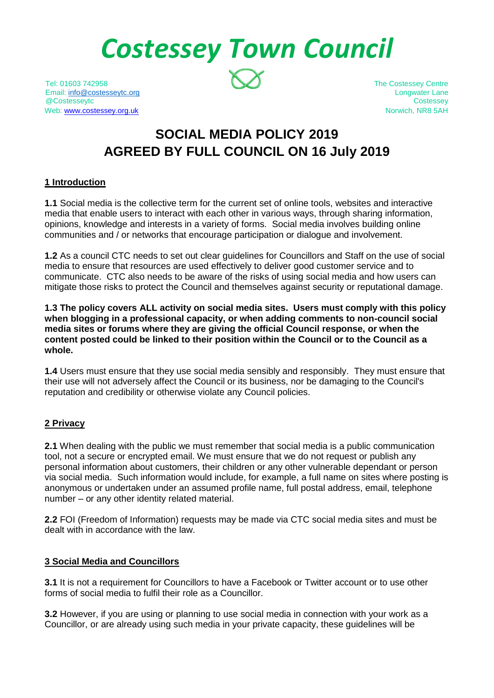# *Costessey Town Council*

Tel: 01603 742958 The Costessey Centre Email: [info@costesseytc.org](mailto:info@costesseytc.org) Longwater Lane @Costesseytc Costessey Web[: www.costessey.org.uk](http://www.costessey.org.uk/) Norwich, NR8 5AH

## **SOCIAL MEDIA POLICY 2019 AGREED BY FULL COUNCIL ON 16 July 2019**

#### **1 Introduction**

**1.1** Social media is the collective term for the current set of online tools, websites and interactive media that enable users to interact with each other in various ways, through sharing information, opinions, knowledge and interests in a variety of forms. Social media involves building online communities and / or networks that encourage participation or dialogue and involvement.

**1.2** As a council CTC needs to set out clear guidelines for Councillors and Staff on the use of social media to ensure that resources are used effectively to deliver good customer service and to communicate. CTC also needs to be aware of the risks of using social media and how users can mitigate those risks to protect the Council and themselves against security or reputational damage.

**1.3 The policy covers ALL activity on social media sites. Users must comply with this policy when blogging in a professional capacity, or when adding comments to non-council social media sites or forums where they are giving the official Council response, or when the content posted could be linked to their position within the Council or to the Council as a whole.**

**1.4** Users must ensure that they use social media sensibly and responsibly. They must ensure that their use will not adversely affect the Council or its business, nor be damaging to the Council's reputation and credibility or otherwise violate any Council policies.

#### **2 Privacy**

**2.1** When dealing with the public we must remember that social media is a public communication tool, not a secure or encrypted email. We must ensure that we do not request or publish any personal information about customers, their children or any other vulnerable dependant or person via social media. Such information would include, for example, a full name on sites where posting is anonymous or undertaken under an assumed profile name, full postal address, email, telephone number – or any other identity related material.

**2.2** FOI (Freedom of Information) requests may be made via CTC social media sites and must be dealt with in accordance with the law.

#### **3 Social Media and Councillors**

**3.1** It is not a requirement for Councillors to have a Facebook or Twitter account or to use other forms of social media to fulfil their role as a Councillor.

**3.2** However, if you are using or planning to use social media in connection with your work as a Councillor, or are already using such media in your private capacity, these guidelines will be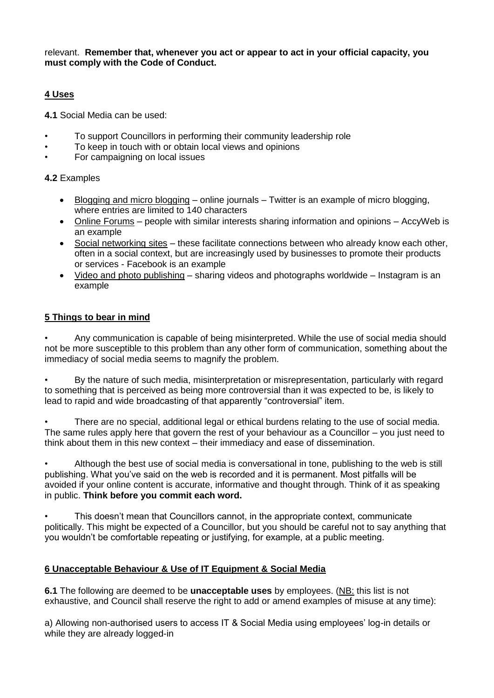relevant. **Remember that, whenever you act or appear to act in your official capacity, you must comply with the Code of Conduct.**

#### **4 Uses**

**4.1** Social Media can be used:

- To support Councillors in performing their community leadership role
- To keep in touch with or obtain local views and opinions
- For campaigning on local issues

#### **4.2** Examples

- Blogging and micro blogging online journals Twitter is an example of micro blogging, where entries are limited to 140 characters
- Online Forums people with similar interests sharing information and opinions AccyWeb is an example
- Social networking sites these facilitate connections between who already know each other, often in a social context, but are increasingly used by businesses to promote their products or services - Facebook is an example
- Video and photo publishing sharing videos and photographs worldwide Instagram is an example

#### **5 Things to bear in mind**

• Any communication is capable of being misinterpreted. While the use of social media should not be more susceptible to this problem than any other form of communication, something about the immediacy of social media seems to magnify the problem.

• By the nature of such media, misinterpretation or misrepresentation, particularly with regard to something that is perceived as being more controversial than it was expected to be, is likely to lead to rapid and wide broadcasting of that apparently "controversial" item.

• There are no special, additional legal or ethical burdens relating to the use of social media. The same rules apply here that govern the rest of your behaviour as a Councillor – you just need to think about them in this new context – their immediacy and ease of dissemination.

• Although the best use of social media is conversational in tone, publishing to the web is still publishing. What you've said on the web is recorded and it is permanent. Most pitfalls will be avoided if your online content is accurate, informative and thought through. Think of it as speaking in public. **Think before you commit each word.**

• This doesn't mean that Councillors cannot, in the appropriate context, communicate politically. This might be expected of a Councillor, but you should be careful not to say anything that you wouldn't be comfortable repeating or justifying, for example, at a public meeting.

#### **6 Unacceptable Behaviour & Use of IT Equipment & Social Media**

**6.1** The following are deemed to be **unacceptable uses** by employees. (NB: this list is not exhaustive, and Council shall reserve the right to add or amend examples of misuse at any time):

a) Allowing non-authorised users to access IT & Social Media using employees' log-in details or while they are already logged-in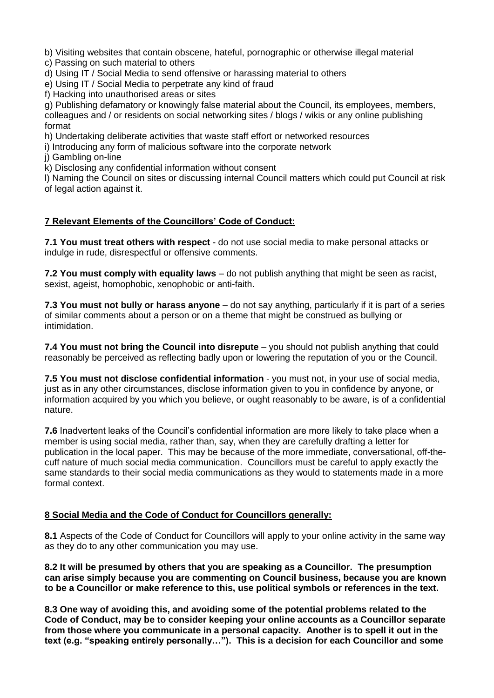b) Visiting websites that contain obscene, hateful, pornographic or otherwise illegal material

c) Passing on such material to others

d) Using IT / Social Media to send offensive or harassing material to others

e) Using IT / Social Media to perpetrate any kind of fraud

f) Hacking into unauthorised areas or sites

g) Publishing defamatory or knowingly false material about the Council, its employees, members, colleagues and / or residents on social networking sites / blogs / wikis or any online publishing format

h) Undertaking deliberate activities that waste staff effort or networked resources

i) Introducing any form of malicious software into the corporate network

j) Gambling on-line

k) Disclosing any confidential information without consent

l) Naming the Council on sites or discussing internal Council matters which could put Council at risk of legal action against it.

#### **7 Relevant Elements of the Councillors' Code of Conduct:**

**7.1 You must treat others with respect** - do not use social media to make personal attacks or indulge in rude, disrespectful or offensive comments.

**7.2 You must comply with equality laws** – do not publish anything that might be seen as racist, sexist, ageist, homophobic, xenophobic or anti-faith.

**7.3 You must not bully or harass anyone** – do not say anything, particularly if it is part of a series of similar comments about a person or on a theme that might be construed as bullying or intimidation.

**7.4 You must not bring the Council into disrepute** – you should not publish anything that could reasonably be perceived as reflecting badly upon or lowering the reputation of you or the Council.

**7.5 You must not disclose confidential information** - you must not, in your use of social media, just as in any other circumstances, disclose information given to you in confidence by anyone, or information acquired by you which you believe, or ought reasonably to be aware, is of a confidential nature.

**7.6** Inadvertent leaks of the Council's confidential information are more likely to take place when a member is using social media, rather than, say, when they are carefully drafting a letter for publication in the local paper. This may be because of the more immediate, conversational, off-thecuff nature of much social media communication. Councillors must be careful to apply exactly the same standards to their social media communications as they would to statements made in a more formal context.

#### **8 Social Media and the Code of Conduct for Councillors generally:**

**8.1** Aspects of the Code of Conduct for Councillors will apply to your online activity in the same way as they do to any other communication you may use.

**8.2 It will be presumed by others that you are speaking as a Councillor. The presumption can arise simply because you are commenting on Council business, because you are known to be a Councillor or make reference to this, use political symbols or references in the text.**

**8.3 One way of avoiding this, and avoiding some of the potential problems related to the Code of Conduct, may be to consider keeping your online accounts as a Councillor separate from those where you communicate in a personal capacity. Another is to spell it out in the text (e.g. "speaking entirely personally…"). This is a decision for each Councillor and some**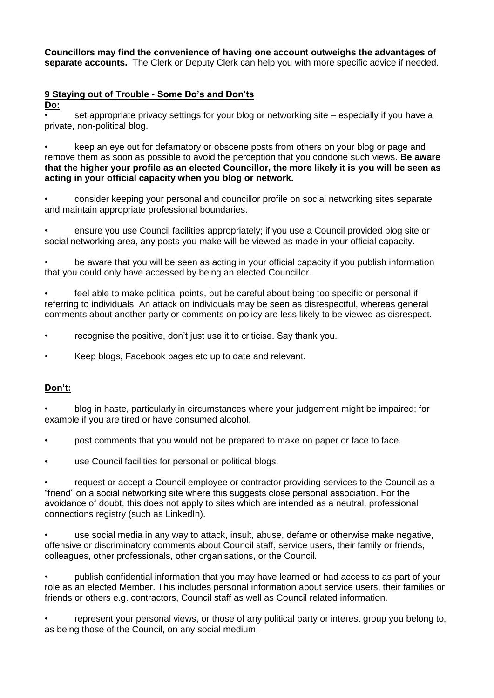**Councillors may find the convenience of having one account outweighs the advantages of separate accounts.** The Clerk or Deputy Clerk can help you with more specific advice if needed.

### **9 Staying out of Trouble - Some Do's and Don'ts**

**Do:**

• set appropriate privacy settings for your blog or networking site – especially if you have a private, non-political blog.

• keep an eye out for defamatory or obscene posts from others on your blog or page and remove them as soon as possible to avoid the perception that you condone such views. **Be aware that the higher your profile as an elected Councillor, the more likely it is you will be seen as acting in your official capacity when you blog or network.**

• consider keeping your personal and councillor profile on social networking sites separate and maintain appropriate professional boundaries.

• ensure you use Council facilities appropriately; if you use a Council provided blog site or social networking area, any posts you make will be viewed as made in your official capacity.

• be aware that you will be seen as acting in your official capacity if you publish information that you could only have accessed by being an elected Councillor.

• feel able to make political points, but be careful about being too specific or personal if referring to individuals. An attack on individuals may be seen as disrespectful, whereas general comments about another party or comments on policy are less likely to be viewed as disrespect.

• recognise the positive, don't just use it to criticise. Say thank you.

• Keep blogs, Facebook pages etc up to date and relevant.

#### **Don't:**

• blog in haste, particularly in circumstances where your judgement might be impaired; for example if you are tired or have consumed alcohol.

• post comments that you would not be prepared to make on paper or face to face.

• use Council facilities for personal or political blogs.

• request or accept a Council employee or contractor providing services to the Council as a "friend" on a social networking site where this suggests close personal association. For the avoidance of doubt, this does not apply to sites which are intended as a neutral, professional connections registry (such as LinkedIn).

• use social media in any way to attack, insult, abuse, defame or otherwise make negative, offensive or discriminatory comments about Council staff, service users, their family or friends, colleagues, other professionals, other organisations, or the Council.

• publish confidential information that you may have learned or had access to as part of your role as an elected Member. This includes personal information about service users, their families or friends or others e.g. contractors, Council staff as well as Council related information.

• represent your personal views, or those of any political party or interest group you belong to, as being those of the Council, on any social medium.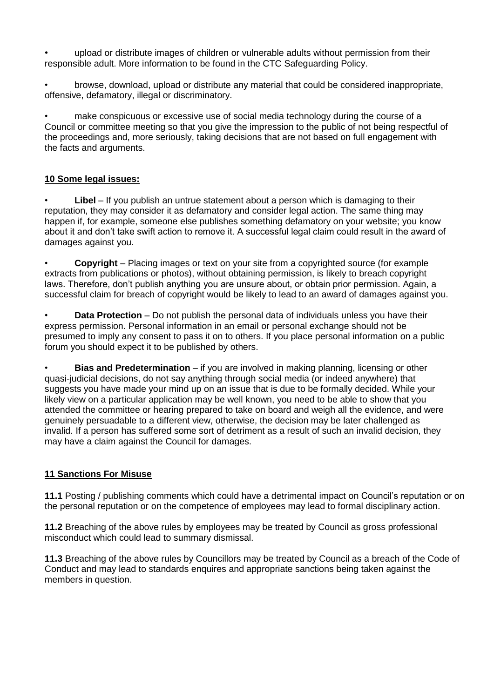• upload or distribute images of children or vulnerable adults without permission from their responsible adult. More information to be found in the CTC Safeguarding Policy.

• browse, download, upload or distribute any material that could be considered inappropriate, offensive, defamatory, illegal or discriminatory.

• make conspicuous or excessive use of social media technology during the course of a Council or committee meeting so that you give the impression to the public of not being respectful of the proceedings and, more seriously, taking decisions that are not based on full engagement with the facts and arguments.

#### **10 Some legal issues:**

**Libel** – If you publish an untrue statement about a person which is damaging to their reputation, they may consider it as defamatory and consider legal action. The same thing may happen if, for example, someone else publishes something defamatory on your website; you know about it and don't take swift action to remove it. A successful legal claim could result in the award of damages against you.

• **Copyright** – Placing images or text on your site from a copyrighted source (for example extracts from publications or photos), without obtaining permission, is likely to breach copyright laws. Therefore, don't publish anything you are unsure about, or obtain prior permission. Again, a successful claim for breach of copyright would be likely to lead to an award of damages against you.

• **Data Protection** – Do not publish the personal data of individuals unless you have their express permission. Personal information in an email or personal exchange should not be presumed to imply any consent to pass it on to others. If you place personal information on a public forum you should expect it to be published by others.

• **Bias and Predetermination** – if you are involved in making planning, licensing or other quasi-judicial decisions, do not say anything through social media (or indeed anywhere) that suggests you have made your mind up on an issue that is due to be formally decided. While your likely view on a particular application may be well known, you need to be able to show that you attended the committee or hearing prepared to take on board and weigh all the evidence, and were genuinely persuadable to a different view, otherwise, the decision may be later challenged as invalid. If a person has suffered some sort of detriment as a result of such an invalid decision, they may have a claim against the Council for damages.

#### **11 Sanctions For Misuse**

**11.1** Posting / publishing comments which could have a detrimental impact on Council's reputation or on the personal reputation or on the competence of employees may lead to formal disciplinary action.

**11.2** Breaching of the above rules by employees may be treated by Council as gross professional misconduct which could lead to summary dismissal.

**11.3** Breaching of the above rules by Councillors may be treated by Council as a breach of the Code of Conduct and may lead to standards enquires and appropriate sanctions being taken against the members in question.